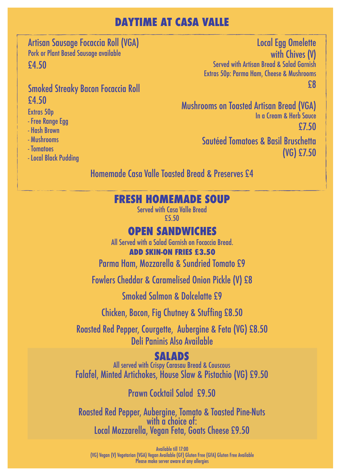#### **DAYTIME AT CASA VALLE**

Artisan Sausage Focaccia Roll (VGA) Pork or Plant Based Sausage available £4.50

#### Smoked Streaky Bacon Focaccia Roll £4.50

Extras 50p

- Free Range Egg
- Hash Brown
- Mushrooms
- Tomatoes
- Local Black Pudding

Local Egg Omelette with Chives (V) Served with Artisan Bread & Salad Garnish Extras 50p: Parma Ham, Cheese & Mushrooms £8

Mushrooms on Toasted Artisan Bread (VGA) In a Cream & Herb Sauce £7.50

> Sautéed Tomatoes & Basil Bruschetta (VG) £7.50

Homemade Casa Valle Toasted Bread & Preserves £4

#### **FRESH HOMEMADE SOUP**

Served with Casa Valle Bread £5.50

#### **OPEN SANDWICHES**

All Served with a Salad Garnish on Focaccia Bread.

#### **ADD SKIN-ON FRIES £3.50**

Parma Ham, Mozzarella & Sundried Tomato £9

Fowlers Cheddar & Caramelised Onion Pickle (V) £8

Smoked Salmon & Dolcelatte £9

Chicken, Bacon, Fig Chutney & Stuffing £8.50

Roasted Red Pepper, Courgette, Aubergine & Feta (VG) £8.50 Deli Paninis Also Available

#### **SALADS**

Falafel, Minted Artichokes, House Slaw & Pistachio (VG) £9.50 All served with Crispy Carasau Bread & Couscous

Prawn Cocktail Salad £9.50

Roasted Red Pepper, Aubergine, Tomato & Toasted Pine-Nuts with a choice of: Local Mozzarella, Vegan Feta, Goats Cheese £9.50

Available till 17:00 (VG) Vegan (V) Vegetarian (VGA) Vegan Available (GF) Gluten Free (GFA) Gluten Free Available Please make server aware of any allergies